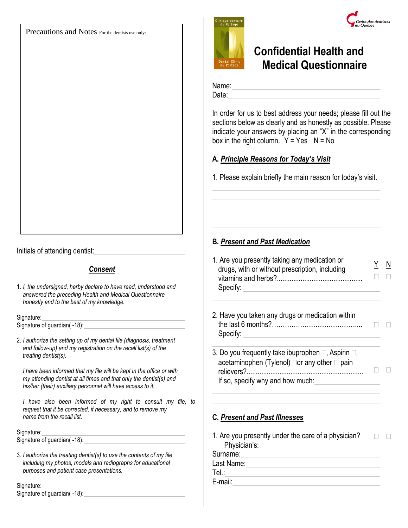Precautions and Notes For the dentists use only:

# e des dentistes

## **Confidential Health and Medical Questionnaire**

Name:

Date: **Date: Date: Date: Date: Date: Date: Date: Date: Date: Date: Date: Date: Date: Date: Date: Date: Date: Date: Date: Date: Date: Date: Date: Date: Date: Date: Date:**

In order for us to best address your needs; please fill out the sections below as clearly and as honestly as possible. Please indicate your answers by placing an "X" in the corresponding box in the right column.  $Y = Yes \tN = No$ 

## **A.** *Principle Reasons for Today's Visit*

1. Please explain briefly the main reason for today's visit.

## **B.** *Present and Past Medication*

| 1. Are you presently taking any medication or  |        | $\overline{\mathsf{N}}$ |
|------------------------------------------------|--------|-------------------------|
| drugs, with or without prescription, including |        |                         |
|                                                | $\Box$ |                         |
| Specify:                                       |        |                         |

- 2. Have you taken any drugs or medication within the last 6 months?………………………………..…. Specify:
- 3. Do you frequently take ibuprophen  $\Box$ , Aspirin  $\Box$ , acetaminophen (Tylenol)  $\Box$ or any other  $\Box$  pain relievers?................................................................ If so, specify why and how much:

### **C.** *Present and Past Illnesses*

1. Are you presently under the care of a physician?  $\Box$   $\Box$ Physician's: Surname:

Last Name: <u>\_\_\_\_\_\_\_\_\_\_\_\_\_\_\_\_\_\_\_\_\_\_\_\_\_\_\_\_\_\_\_\_\_\_</u> Tel.:

E-mail:

Initials of attending dentist:

## *Consent*

1. *I, the undersigned, herby declare to have read, understood and answered the preceding Health and Medical Questionnaire honestly and to the best of my knowledge.*

Signature:

Signature of guardian( -18):

2. *I authorize the setting up of my dental file (diagnosis, treatment and follow-up) and my registration on the recall list(s) of the treating dentist(s).*

*I have been informed that my file will be kept in the office or with my attending dentist at all times and that only the dentist(s) and his/her (their) auxiliary personnel will have access to it.* 

*I have also been informed of my right to consult my file, to request that it be corrected, if necessary, and to remove my name from the recall list.*

#### Signature:

Signature of quardian(-18):

3. *I authorize the treating dentist(s) to use the contents of my file including my photos, models and radiographs for educational purposes and patient case presentations.* 

#### Signature:

Signature of guardian( -18):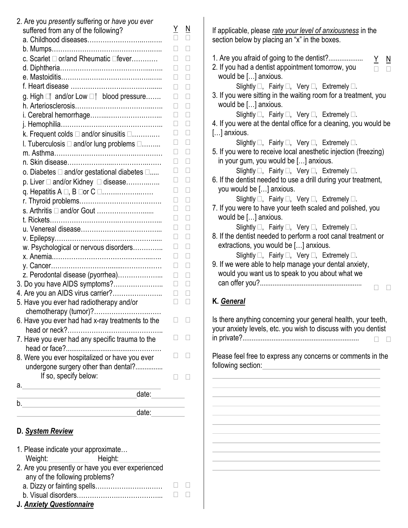| 2. Are you presently suffering or have you ever<br>suffered from any of the following?    | <u>Y</u>                 | N            |
|-------------------------------------------------------------------------------------------|--------------------------|--------------|
|                                                                                           | □                        |              |
|                                                                                           |                          |              |
| c. Scarlet $\square$ or/and Rheumatic $\square$ fever                                     | $\Box$                   | Ш            |
|                                                                                           |                          |              |
|                                                                                           |                          | П            |
|                                                                                           |                          |              |
| g. High <sub>□</sub> and/or Low □ blood pressure                                          |                          | Ш            |
|                                                                                           |                          |              |
|                                                                                           | $\overline{\phantom{a}}$ | Ш            |
|                                                                                           | Ш                        | Ш            |
| k. Frequent colds $\square$ and/or sinusitis $\square$                                    |                          | H            |
| I. Tuberculosis □ and/or lung problems □                                                  |                          |              |
|                                                                                           |                          | $\mathbf{L}$ |
|                                                                                           | $\Box$                   | Ш            |
| o. Diabetes □ and/or gestational diabetes □                                               | Ш                        | H            |
| p. Liver □ and/or Kidney □ disease                                                        |                          |              |
|                                                                                           |                          |              |
|                                                                                           |                          |              |
| s. Arthritis $\Box$ and/or Gout                                                           |                          |              |
|                                                                                           |                          |              |
|                                                                                           | П                        | Ш            |
|                                                                                           |                          | Ш            |
| w. Psychological or nervous disorders                                                     |                          | $\Box$       |
|                                                                                           |                          |              |
|                                                                                           | Ш                        | $\Box$       |
| z. Perodontal disease (pyorrhea)                                                          | Ш                        | $\Box$       |
| 3. Do you have AIDS symptoms?                                                             |                          |              |
| 4. Are you an AIDS virus carrier?                                                         |                          |              |
| 5. Have you ever had radiotherapy and/or                                                  |                          |              |
| chemotherapy (tumor)?                                                                     |                          |              |
| 6. Have you ever had had x-ray treatments to the                                          |                          |              |
|                                                                                           |                          |              |
| 7. Have you ever had any specific trauma to the                                           |                          |              |
| 8. Were you ever hospitalized or have you ever                                            | $\Box$                   |              |
| undergone surgery other than dental?                                                      |                          |              |
| If so, specify below:                                                                     |                          |              |
|                                                                                           |                          |              |
| a.<br>date:<br>the control of the control of the control of the control of the control of |                          |              |
| b. <u>__________________________</u>                                                      |                          |              |
| date:                                                                                     |                          |              |
|                                                                                           |                          |              |

## **D.** *System Review*

| If applicable, please rate your level of anxiousness in the<br>section below by placing an "x" in the boxes.                                                                                                                                                               |
|----------------------------------------------------------------------------------------------------------------------------------------------------------------------------------------------------------------------------------------------------------------------------|
| 1. Are you afraid of going to the dentist?<br><u>Y N</u><br>2. If you had a dentist appointment tomorrow, you<br>would be [] anxious.<br>Slightly $\square$ , Fairly $\square$ , Very $\square$ , Extremely $\square$ .                                                    |
| 3. If you were sitting in the waiting room for a treatment, you<br>would be [] anxious.<br>Slightly $\square$ , Fairly $\square$ , Very $\square$ , Extremely $\square$ .                                                                                                  |
| 4. If you were at the dental office for a cleaning, you would be<br>$[]$ anxious.                                                                                                                                                                                          |
| Slightly $\square$ , Fairly $\square$ , Very $\square$ , Extremely $\square$ .<br>5. If you were to receive local anesthetic injection (freezing)<br>in your gum, you would be [] anxious.                                                                                 |
| Slightly $\square$ , Fairly $\square$ , Very $\square$ , Extremely $\square$ .<br>6. If the dentist needed to use a drill during your treatment,<br>you would be [] anxious.                                                                                               |
| Slightly $\square$ , Fairly $\square$ , Very $\square$ , Extremely $\square$ .<br>7. If you were to have your teeth scaled and polished, you<br>would be [] anxious.                                                                                                       |
| Slightly $\square$ , Fairly $\square$ , Very $\square$ , Extremely $\square$ .<br>8. If the dentist needed to perform a root canal treatment or<br>extractions, you would be [] anxious.<br>Slightly $\square$ , Fairly $\square$ , Very $\square$ , Extremely $\square$ . |
| 9. If we were able to help manage your dental anxiety,<br>would you want us to speak to you about what we                                                                                                                                                                  |
| K. General                                                                                                                                                                                                                                                                 |
| Is there anything concerning your general health, your teeth,<br>your anxiety levels, etc. you wish to discuss with you dentist                                                                                                                                            |
|                                                                                                                                                                                                                                                                            |
| Please feel free to express any concerns or comments in the<br>following section:<br>the control of the control of the control of                                                                                                                                          |
|                                                                                                                                                                                                                                                                            |
|                                                                                                                                                                                                                                                                            |
|                                                                                                                                                                                                                                                                            |
|                                                                                                                                                                                                                                                                            |
|                                                                                                                                                                                                                                                                            |
|                                                                                                                                                                                                                                                                            |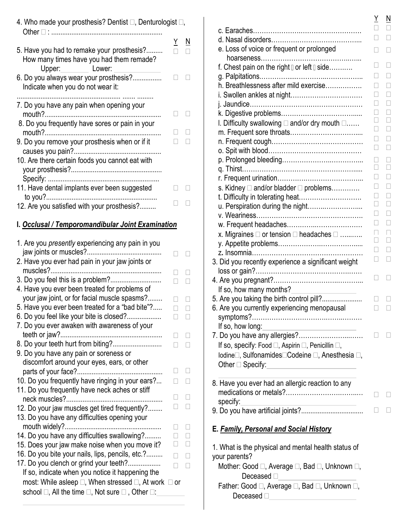| 4. Who made your prosthesis? Dentist □, Denturologist □,                                                                               |                          |        |
|----------------------------------------------------------------------------------------------------------------------------------------|--------------------------|--------|
| 5. Have you had to remake your prosthesis?<br>How many times have you had them remade?<br>Upper:____________ Lower:                    | <u>Y</u>                 | N      |
| 6. Do you always wear your prosthesis?<br>Indicate when you do not wear it:                                                            |                          |        |
| 7. Do you have any pain when opening your                                                                                              | $\overline{\phantom{a}}$ | Ш      |
| 8. Do you frequently have sores or pain in your                                                                                        | $\mathbf{L}$             |        |
| 9. Do you remove your prosthesis when or if it                                                                                         |                          |        |
| 10. Are there certain foods you cannot eat with                                                                                        |                          |        |
| 11. Have dental implants ever been suggested                                                                                           |                          |        |
| 12. Are you satisfied with your prosthesis?                                                                                            |                          |        |
| I. Occlusal / Temporomandibular Joint Examination                                                                                      |                          |        |
| 1. Are you <i>presently</i> experiencing any pain in you                                                                               |                          |        |
| 2. Have you ever had pain in your jaw joints or                                                                                        | Ш                        | $\Box$ |
| 3. Do you feel this is a problem?<br>4. Have you ever been treated for problems of                                                     | $\Box$                   | $\Box$ |
| your jaw joint, or for facial muscle spasms?<br>5. Have you ever been treated for a "bad bite"?.                                       |                          |        |
| 6. Do you feel like your bite is closed?                                                                                               | $\Box$                   | Ц<br>⊔ |
| 7. Do you ever awaken with awareness of your                                                                                           |                          |        |
| 9. Do you have any pain or soreness or                                                                                                 |                          |        |
| discomfort around your eyes, ears, or other                                                                                            |                          | $\Box$ |
| 10. Do you frequently have ringing in your ears?                                                                                       |                          |        |
| 11. Do you frequently have neck aches or stiff                                                                                         |                          |        |
| 12. Do your jaw muscles get tired frequently?                                                                                          | Ш                        |        |
| 13. Do you have any difficulties opening your                                                                                          |                          |        |
| 14. Do you have any difficulties swallowing?<br>15. Does your jaw make noise when you move it?                                         |                          |        |
| 16. Do you bite your nails, lips, pencils, etc.?                                                                                       |                          |        |
| 17. Do you clench or grind your teeth?<br>If so, indicate when you notice it happening the                                             | П                        | $\Box$ |
| most: While asleep □, When stressed □, At work [<br>school $\square$ , All the time $\square$ , Not sure $\square$ , Other $\square$ : | ∃ or                     |        |

|                                                                                           | Y                 | Ν                        |
|-------------------------------------------------------------------------------------------|-------------------|--------------------------|
|                                                                                           | П                 | П                        |
|                                                                                           |                   | Ш                        |
| e. Loss of voice or frequent or prolonged                                                 |                   |                          |
| f. Chest pain on the right Dor left D side                                                | $\vert \ \ \vert$ | $\Box$                   |
|                                                                                           |                   | Ш                        |
| h. Breathlessness after mild exercise                                                     |                   | П                        |
| i. Swollen ankles at night                                                                |                   | Ш                        |
|                                                                                           |                   | П                        |
|                                                                                           |                   |                          |
| I. Difficulty swallowing □ and/or dry mouth □                                             |                   |                          |
|                                                                                           |                   |                          |
|                                                                                           | ×.                | $\mathbf{L}$             |
|                                                                                           | П                 | П                        |
|                                                                                           |                   |                          |
|                                                                                           |                   | Ш                        |
|                                                                                           |                   | Ш                        |
| s. Kidney □ and/or bladder □ problems                                                     |                   |                          |
| t. Difficulty in tolerating heat                                                          |                   |                          |
| u. Perspiration during the night                                                          | $\Box$            | П                        |
|                                                                                           | $\mathbf{I}$      | П                        |
|                                                                                           |                   |                          |
| x. Migraines $\square$ or tension $\square$ headaches $\square$                           |                   |                          |
|                                                                                           | $\Box$            | $\mathbf{L}$             |
|                                                                                           | $\mathbf{L}$      | П                        |
| 3. Did you recently experience a significant weight                                       |                   |                          |
|                                                                                           |                   | $\overline{\phantom{a}}$ |
|                                                                                           |                   |                          |
| If so, how many months?                                                                   |                   |                          |
| 5. Are you taking the birth control pill?<br>6. Are you currently experiencing menopausal | $\Box$            | Ш                        |
|                                                                                           |                   |                          |
| If so, how long:                                                                          |                   |                          |
|                                                                                           | $\Box$            | Ш                        |
| If so, specify: Food □, Aspirin □, Penicillin □,                                          |                   |                          |
| Iodine□, Sulfonamides□Codeine □, Anesthesia □,                                            |                   |                          |
| Other $\Box$ Specify:                                                                     |                   |                          |
|                                                                                           |                   |                          |
| 8. Have you ever had an allergic reaction to any                                          |                   |                          |
|                                                                                           |                   |                          |
| specify:                                                                                  | $\Box$            |                          |
|                                                                                           |                   |                          |
|                                                                                           |                   |                          |
| E. <u>Family, Personal and Social History</u>                                             |                   |                          |
| 1. What is the physical and mental health status of                                       |                   |                          |
| your parents?                                                                             |                   |                          |
| Mother: Good □, Average □, Bad □, Unknown □,                                              |                   |                          |
| Deceased [                                                                                |                   |                          |
| Father: Good □, Average □, Bad □, Unknown □,                                              |                   |                          |

Deceased  $\square$